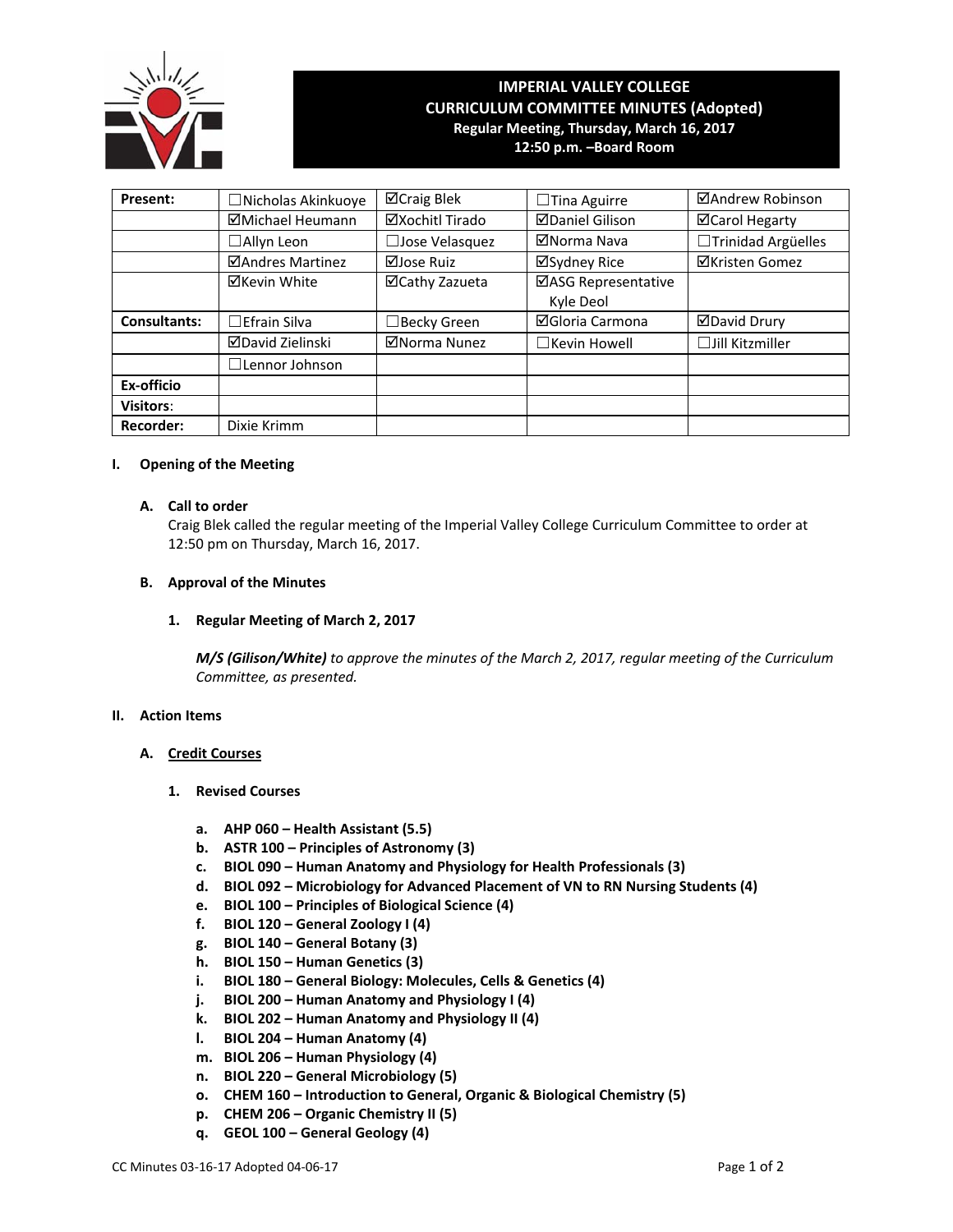

# **IMPERIAL VALLEY COLLEGE CURRICULUM COMMITTEE MINUTES (Adopted) Regular Meeting, Thursday, March 16, 2017 12:50 p.m. –Board Room**

| Present:            | □Nicholas Akinkuoye     | ⊠Craig Blek           | $\Box$ Tina Aguirre              | ⊠Andrew Robinson       |
|---------------------|-------------------------|-----------------------|----------------------------------|------------------------|
|                     | ⊠Michael Heumann        | ⊠Xochitl Tirado       | <b>ØDaniel Gilison</b>           | <b>⊠Carol Hegarty</b>  |
|                     | $\Box$ Allyn Leon       | $\Box$ Jose Velasquez | ⊠Norma Nava                      | □Trinidad Argüelles    |
|                     | ⊠Andres Martinez        | ⊠Jose Ruiz            | ⊠Sydney Rice                     | <b>⊠Kristen Gomez</b>  |
|                     | ⊠Kevin White            | ⊠Cathy Zazueta        | ⊠ASG Representative<br>Kyle Deol |                        |
| <b>Consultants:</b> | $\Box$ Efrain Silva     | $\Box$ Becky Green    | <b>⊠Gloria Carmona</b>           | <b>ØDavid Drury</b>    |
|                     | <b>ØDavid Zielinski</b> | ⊠Norma Nunez          | $\Box$ Kevin Howell              | $\Box$ Jill Kitzmiller |
|                     | $\Box$ Lennor Johnson   |                       |                                  |                        |
| Ex-officio          |                         |                       |                                  |                        |
| <b>Visitors:</b>    |                         |                       |                                  |                        |
| <b>Recorder:</b>    | Dixie Krimm             |                       |                                  |                        |

## **I. Opening of the Meeting**

## **A. Call to order**

Craig Blek called the regular meeting of the Imperial Valley College Curriculum Committee to order at 12:50 pm on Thursday, March 16, 2017.

## **B. Approval of the Minutes**

# **1. Regular Meeting of March 2, 2017**

*M/S (Gilison/White) to approve the minutes of the March 2, 2017, regular meeting of the Curriculum Committee, as presented.* 

#### **II. Action Items**

# **A. Credit Courses**

- **1. Revised Courses**
	- **a. AHP 060 – Health Assistant (5.5)**
	- **b. ASTR 100 – Principles of Astronomy (3)**
	- **c. BIOL 090 – Human Anatomy and Physiology for Health Professionals (3)**
	- **d. BIOL 092 – Microbiology for Advanced Placement of VN to RN Nursing Students (4)**
	- **e. BIOL 100 – Principles of Biological Science (4)**
	- **f. BIOL 120 – General Zoology I (4)**
	- **g. BIOL 140 – General Botany (3)**
	- **h. BIOL 150 – Human Genetics (3)**
	- **i. BIOL 180 – General Biology: Molecules, Cells & Genetics (4)**
	- **j. BIOL 200 – Human Anatomy and Physiology I (4)**
	- **k. BIOL 202 – Human Anatomy and Physiology II (4)**
	- **l. BIOL 204 – Human Anatomy (4)**
	- **m. BIOL 206 – Human Physiology (4)**
	- **n. BIOL 220 – General Microbiology (5)**
	- **o. CHEM 160 – Introduction to General, Organic & Biological Chemistry (5)**
	- **p. CHEM 206 – Organic Chemistry II (5)**
	- **q. GEOL 100 – General Geology (4)**